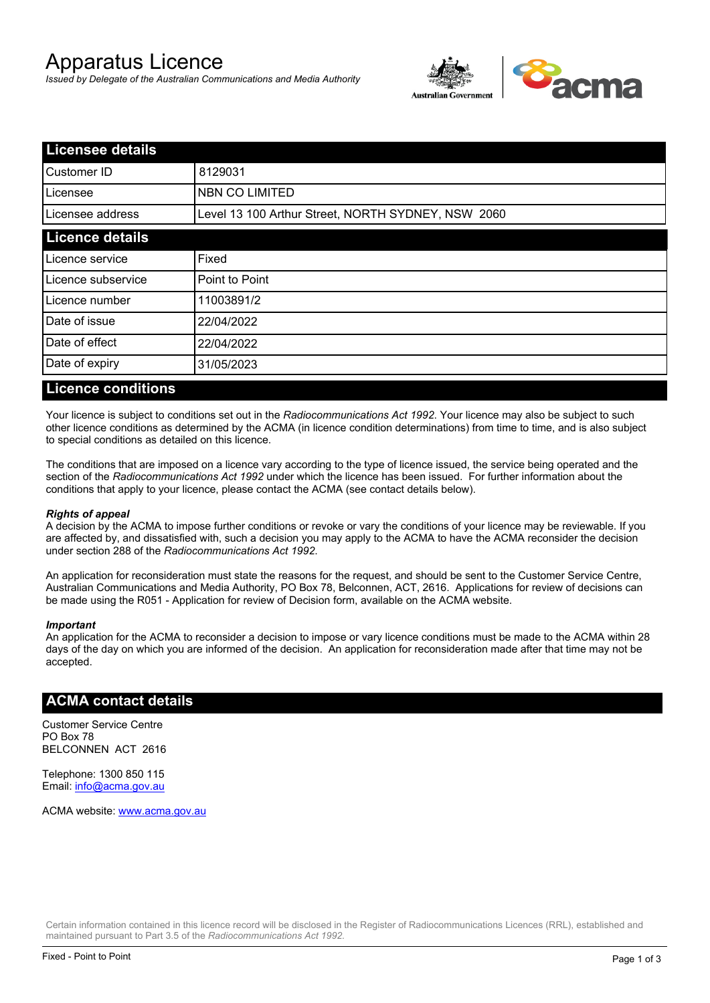# Apparatus Licence

*Issued by Delegate of the Australian Communications and Media Authority*



| <b>Licensee details</b> |                                                    |  |
|-------------------------|----------------------------------------------------|--|
| Customer ID             | 8129031                                            |  |
| ILicensee               | <b>NBN CO LIMITED</b>                              |  |
| Licensee address        | Level 13 100 Arthur Street, NORTH SYDNEY, NSW 2060 |  |
| <b>Licence details</b>  |                                                    |  |
| Licence service         | Fixed                                              |  |
| Licence subservice      | Point to Point                                     |  |
| Licence number          | 11003891/2                                         |  |
| Date of issue           | 22/04/2022                                         |  |
| Date of effect          | 22/04/2022                                         |  |
| Date of expiry          | 31/05/2023                                         |  |
|                         |                                                    |  |

#### **Licence conditions**

Your licence is subject to conditions set out in the *Radiocommunications Act 1992*. Your licence may also be subject to such other licence conditions as determined by the ACMA (in licence condition determinations) from time to time, and is also subject to special conditions as detailed on this licence.

The conditions that are imposed on a licence vary according to the type of licence issued, the service being operated and the section of the *Radiocommunications Act 1992* under which the licence has been issued. For further information about the conditions that apply to your licence, please contact the ACMA (see contact details below).

#### *Rights of appeal*

A decision by the ACMA to impose further conditions or revoke or vary the conditions of your licence may be reviewable. If you are affected by, and dissatisfied with, such a decision you may apply to the ACMA to have the ACMA reconsider the decision under section 288 of the *Radiocommunications Act 1992*.

An application for reconsideration must state the reasons for the request, and should be sent to the Customer Service Centre, Australian Communications and Media Authority, PO Box 78, Belconnen, ACT, 2616. Applications for review of decisions can be made using the R051 - Application for review of Decision form, available on the ACMA website.

#### *Important*

An application for the ACMA to reconsider a decision to impose or vary licence conditions must be made to the ACMA within 28 days of the day on which you are informed of the decision. An application for reconsideration made after that time may not be accepted.

#### **ACMA contact details**

Customer Service Centre PO Box 78 BELCONNEN ACT 2616

Telephone: 1300 850 115 Email: info@acma.gov.au

ACMA website: www.acma.gov.au

Certain information contained in this licence record will be disclosed in the Register of Radiocommunications Licences (RRL), established and maintained pursuant to Part 3.5 of the *Radiocommunications Act 1992.*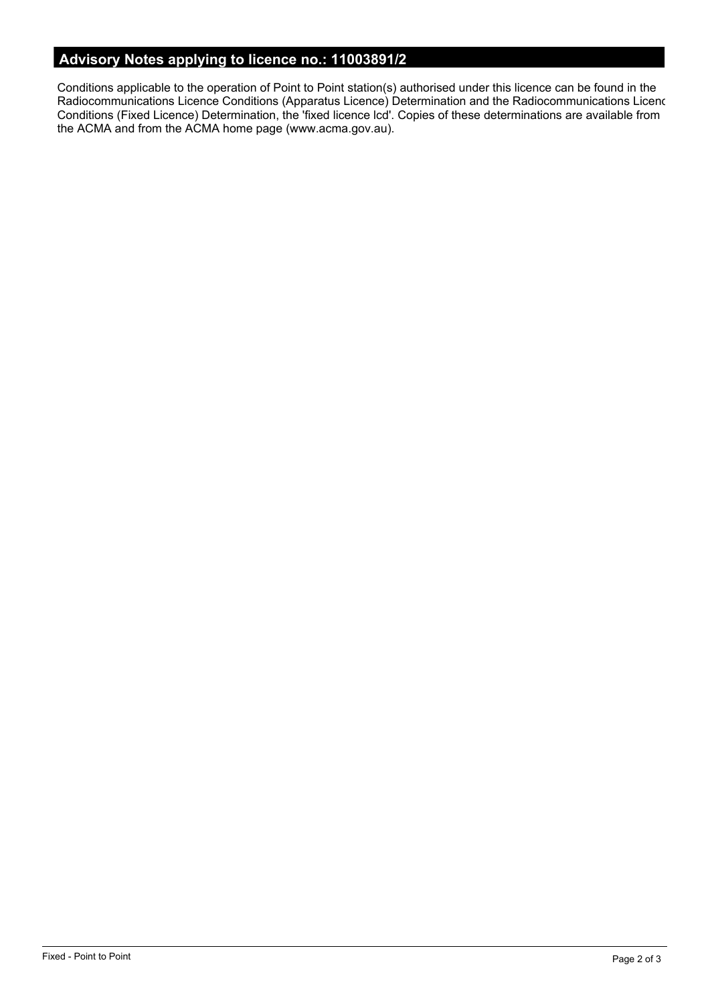# **Advisory Notes applying to licence no.: 11003891/2**

Conditions applicable to the operation of Point to Point station(s) authorised under this licence can be found in the Radiocommunications Licence Conditions (Apparatus Licence) Determination and the Radiocommunications Licence Conditions (Fixed Licence) Determination, the 'fixed licence lcd'. Copies of these determinations are available from the ACMA and from the ACMA home page (www.acma.gov.au).